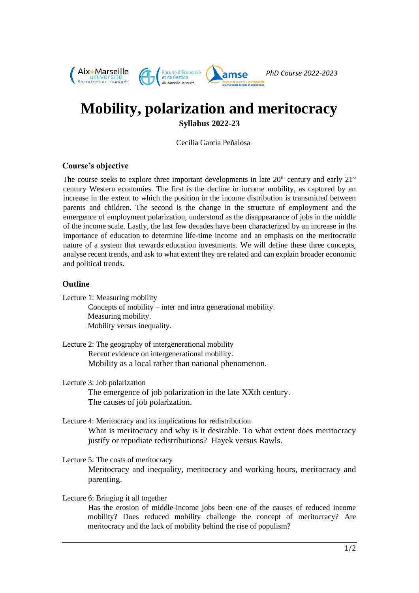

# **Mobility, polarization and meritocracy**

**Syllabus 2022-23**

Cecilia García Peñalosa

# **Course's objective**

The course seeks to explore three important developments in late  $20<sup>th</sup>$  century and early  $21<sup>st</sup>$ century Western economies. The first is the decline in income mobility, as captured by an increase in the extent to which the position in the income distribution is transmitted between parents and children. The second is the change in the structure of employment and the emergence of employment polarization, understood as the disappearance of jobs in the middle of the income scale. Lastly, the last few decades have been characterized by an increase in the importance of education to determine life-time income and an emphasis on the meritocratic nature of a system that rewards education investments. We will define these three concepts, analyse recent trends, and ask to what extent they are related and can explain broader economic and political trends.

## **Outline**

Lecture 1: Measuring mobility

Concepts of mobility – inter and intra generational mobility. Measuring mobility. Mobility versus inequality.

- Lecture 2: The geography of intergenerational mobility Recent evidence on intergenerational mobility. Mobility as a local rather than national phenomenon.
- Lecture 3: Job polarization The emergence of job polarization in the late XXth century. The causes of job polarization.
- Lecture 4: Meritocracy and its implications for redistribution What is meritocracy and why is it desirable. To what extent does meritocracy justify or repudiate redistributions? Hayek versus Rawls.
- Lecture 5: The costs of meritocracy Meritocracy and inequality, meritocracy and working hours, meritocracy and parenting.

Lecture 6: Bringing it all together

Has the erosion of middle-income jobs been one of the causes of reduced income mobility? Does reduced mobility challenge the concept of meritocracy? Are meritocracy and the lack of mobility behind the rise of populism?